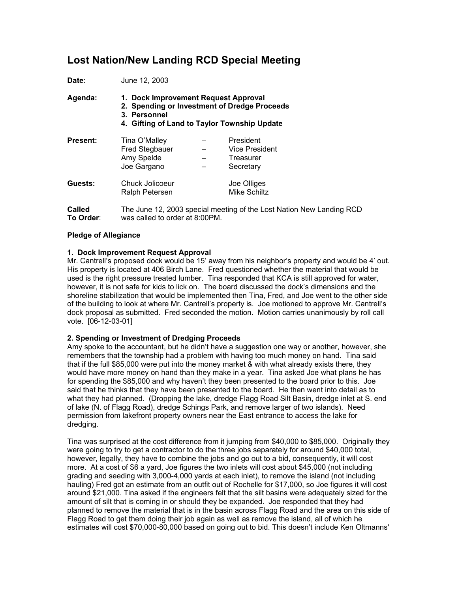# **Lost Nation/New Landing RCD Special Meeting**

| Date:           | June 12, 2003<br>1. Dock Improvement Request Approval<br>2. Spending or Investment of Dredge Proceeds<br>3. Personnel<br>4. Gifting of Land to Taylor Township Update |  |                                                              |
|-----------------|-----------------------------------------------------------------------------------------------------------------------------------------------------------------------|--|--------------------------------------------------------------|
| Agenda:         |                                                                                                                                                                       |  |                                                              |
| <b>Present:</b> | Tina O'Malley<br><b>Fred Stegbauer</b><br>Amy Spelde<br>Joe Gargano                                                                                                   |  | President<br><b>Vice President</b><br>Treasurer<br>Secretary |
| Guests:         | Chuck Jolicoeur<br>Ralph Petersen                                                                                                                                     |  | Joe Olliges<br><b>Mike Schiltz</b>                           |
| $\sim$ -11-4    | The lune 10,000 encoint meating of the Loot Nation N                                                                                                                  |  |                                                              |

**Called** The June 12, 2003 special meeting of the Lost Nation New Landing RCD **To Order**: was called to order at 8:00PM.

### **Pledge of Allegiance**

## **1. Dock Improvement Request Approval**

Mr. Cantrell's proposed dock would be 15' away from his neighbor's property and would be 4' out. His property is located at 406 Birch Lane. Fred questioned whether the material that would be used is the right pressure treated lumber. Tina responded that KCA is still approved for water, however, it is not safe for kids to lick on. The board discussed the dock's dimensions and the shoreline stabilization that would be implemented then Tina, Fred, and Joe went to the other side of the building to look at where Mr. Cantrell's property is. Joe motioned to approve Mr. Cantrell's dock proposal as submitted. Fred seconded the motion. Motion carries unanimously by roll call vote. [06-12-03-01]

### **2. Spending or Investment of Dredging Proceeds**

Amy spoke to the accountant, but he didn't have a suggestion one way or another, however, she remembers that the township had a problem with having too much money on hand. Tina said that if the full \$85,000 were put into the money market & with what already exists there, they would have more money on hand than they make in a year. Tina asked Joe what plans he has for spending the \$85,000 and why haven't they been presented to the board prior to this. Joe said that he thinks that they have been presented to the board. He then went into detail as to what they had planned. (Dropping the lake, dredge Flagg Road Silt Basin, dredge inlet at S. end of lake (N. of Flagg Road), dredge Schings Park, and remove larger of two islands). Need permission from lakefront property owners near the East entrance to access the lake for dredging.

Tina was surprised at the cost difference from it jumping from \$40,000 to \$85,000. Originally they were going to try to get a contractor to do the three jobs separately for around \$40,000 total, however, legally, they have to combine the jobs and go out to a bid, consequently, it will cost more. At a cost of \$6 a yard, Joe figures the two inlets will cost about \$45,000 (not including grading and seeding with 3,000-4,000 yards at each inlet), to remove the island (not including hauling) Fred got an estimate from an outfit out of Rochelle for \$17,000, so Joe figures it will cost around \$21,000. Tina asked if the engineers felt that the silt basins were adequately sized for the amount of silt that is coming in or should they be expanded. Joe responded that they had planned to remove the material that is in the basin across Flagg Road and the area on this side of Flagg Road to get them doing their job again as well as remove the island, all of which he estimates will cost \$70,000-80,000 based on going out to bid. This doesn't include Ken Oltmanns'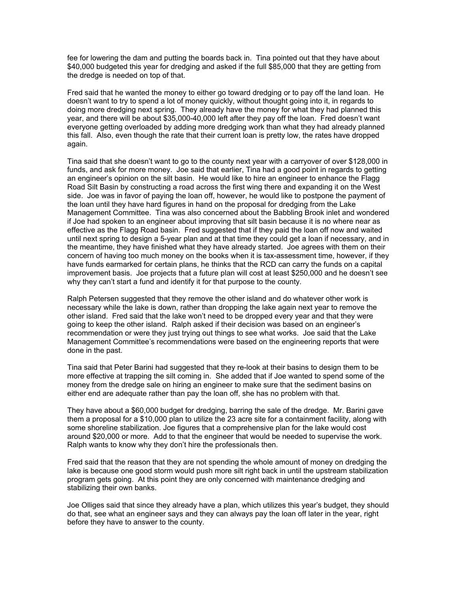fee for lowering the dam and putting the boards back in. Tina pointed out that they have about \$40,000 budgeted this year for dredging and asked if the full \$85,000 that they are getting from the dredge is needed on top of that.

Fred said that he wanted the money to either go toward dredging or to pay off the land loan. He doesn't want to try to spend a lot of money quickly, without thought going into it, in regards to doing more dredging next spring. They already have the money for what they had planned this year, and there will be about \$35,000-40,000 left after they pay off the loan. Fred doesn't want everyone getting overloaded by adding more dredging work than what they had already planned this fall. Also, even though the rate that their current loan is pretty low, the rates have dropped again.

Tina said that she doesn't want to go to the county next year with a carryover of over \$128,000 in funds, and ask for more money. Joe said that earlier, Tina had a good point in regards to getting an engineer's opinion on the silt basin. He would like to hire an engineer to enhance the Flagg Road Silt Basin by constructing a road across the first wing there and expanding it on the West side. Joe was in favor of paying the loan off, however, he would like to postpone the payment of the loan until they have hard figures in hand on the proposal for dredging from the Lake Management Committee. Tina was also concerned about the Babbling Brook inlet and wondered if Joe had spoken to an engineer about improving that silt basin because it is no where near as effective as the Flagg Road basin. Fred suggested that if they paid the loan off now and waited until next spring to design a 5-year plan and at that time they could get a loan if necessary, and in the meantime, they have finished what they have already started. Joe agrees with them on their concern of having too much money on the books when it is tax-assessment time, however, if they have funds earmarked for certain plans, he thinks that the RCD can carry the funds on a capital improvement basis. Joe projects that a future plan will cost at least \$250,000 and he doesn't see why they can't start a fund and identify it for that purpose to the county.

Ralph Petersen suggested that they remove the other island and do whatever other work is necessary while the lake is down, rather than dropping the lake again next year to remove the other island. Fred said that the lake won't need to be dropped every year and that they were going to keep the other island. Ralph asked if their decision was based on an engineer's recommendation or were they just trying out things to see what works. Joe said that the Lake Management Committee's recommendations were based on the engineering reports that were done in the past.

Tina said that Peter Barini had suggested that they re-look at their basins to design them to be more effective at trapping the silt coming in. She added that if Joe wanted to spend some of the money from the dredge sale on hiring an engineer to make sure that the sediment basins on either end are adequate rather than pay the loan off, she has no problem with that.

They have about a \$60,000 budget for dredging, barring the sale of the dredge. Mr. Barini gave them a proposal for a \$10,000 plan to utilize the 23 acre site for a containment facility, along with some shoreline stabilization. Joe figures that a comprehensive plan for the lake would cost around \$20,000 or more. Add to that the engineer that would be needed to supervise the work. Ralph wants to know why they don't hire the professionals then.

Fred said that the reason that they are not spending the whole amount of money on dredging the lake is because one good storm would push more silt right back in until the upstream stabilization program gets going. At this point they are only concerned with maintenance dredging and stabilizing their own banks.

Joe Olliges said that since they already have a plan, which utilizes this year's budget, they should do that, see what an engineer says and they can always pay the loan off later in the year, right before they have to answer to the county.